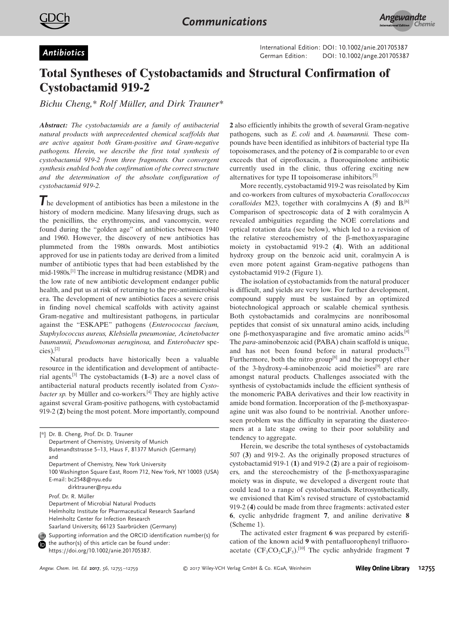

German Edition: DOI: 10.1002/anie.201705387<br>German Edition: DOI: [10.1002/ange.201705387](http://dx.doi.org/10.1002/ange.201705387)

## Total Syntheses of Cystobactamids and Structural Confirmation of Cystobactamid 919-2

Bichu Cheng,\* Rolf Müller, and Dirk [Trauner\\*](http://orcid.org/0000-0002-6782-6056)

Abstract: The cystobactamids are a family of antibacterial natural products with unprecedented chemical scaffolds that are active against both Gram-positive and Gram-negative pathogens. Herein, we describe the first total synthesis of cystobactamid 919-2 from three fragments. Our convergent synthesis enabled both the confirmation of the correct structure and the determination of the absolute configuration of cystobactamid 919-2.

The development of antibiotics has been a milestone in the history of modern medicine. Many lifesaving drugs, such as the penicillins, the erythromycins, and vancomycin, were found during the "golden age" of antibiotics between 1940 and 1960. However, the discovery of new antibiotics has plummeted from the 1980s onwards. Most antibiotics approved for use in patients today are derived from a limited number of antibiotic types that had been established by the mid-1980s.<sup>[1]</sup> The increase in multidrug resistance (MDR) and the low rate of new antibiotic development endanger public health, and put us at risk of returning to the pre-antimicrobial era. The development of new antibiotics faces a severe crisis in finding novel chemical scaffolds with activity against Gram-negative and multiresistant pathogens, in particular against the "ESKAPE" pathogens (Enterococcus faecium, Staphylococcus aureus, Klebsiella pneumoniae, Acinetobacter baumannii, Pseudomonas aeruginosa, and Enterobacter species).[2]

Natural products have historically been a valuable resource in the identification and development of antibacterial agents.<sup>[3]</sup> The cystobactamids  $(1-3)$  are a novel class of antibacterial natural products recently isolated from Cystobacter sp. by Müller and co-workers.<sup>[4]</sup> They are highly active against several Gram-positive pathogens, with cystobactamid 919-2 (2) being the most potent. More importantly, compound

[\*] Dr. B. Cheng, Prof. Dr. D. Trauner Department of Chemistry, University of Munich Butenandtstrasse 5–13, Haus F, 81377 Munich (Germany) and Department of Chemistry, New York University 100 Washington Square East, Room 712, New York, NY 10003 (USA) E-mail: bc2548@nyu.edu dirktrauner@nyu.edu Prof. Dr. R. Müller Department of Microbial Natural Products Helmholtz Institute for Pharmaceutical Research Saarland Helmholtz Center for Infection Research Saarland University, 66123 Saarbrücken (Germany) Supporting information and the ORCID identification number(s) for

the author(s) of this article can be found under: [https://doi.org/10.1002/anie.201705387.](https://doi.org/10.1002/anie.201705387)

2 also efficiently inhibits the growth of several Gram-negative pathogens, such as E. coli and A. baumannii. These compounds have been identified as inhibitors of bacterial type IIa topoisomerases, and the potency of 2 is comparable to or even exceeds that of ciprofloxacin, a fluoroquinolone antibiotic currently used in the clinic, thus offering exciting new alternatives for type II topoisomerase inhibitors. [5]

More recently, cystobactamid 919-2 was reisolated by Kim and co-workers from cultures of myxobacteria Corallococcus coralloides M23, together with coralmycins A  $(5)$  and B.<sup>[6]</sup> Comparison of spectroscopic data of 2 with coralmycin A revealed ambiguities regarding the NOE correlations and optical rotation data (see below), which led to a revision of the relative stereochemistry of the  $\beta$ -methoxyasparagine moiety in cystobactamid 919-2 (4). With an additional hydroxy group on the benzoic acid unit, coralmycin A is even more potent against Gram-negative pathogens than cystobactamid 919-2 (Figure 1).

The isolation of cystobactamids from the natural producer is difficult, and yields are very low. For further development, compound supply must be sustained by an optimized biotechnological approach or scalable chemical synthesis. Both cystobactamids and coralmycins are nonribosomal peptides that consist of six unnatural amino acids, including one  $\beta$ -methoxyasparagine and five aromatic amino acids.<sup>[4]</sup> The para-aminobenzoic acid (PABA) chain scaffold is unique, and has not been found before in natural products.<sup>[7]</sup> Furthermore, both the nitro group<sup>[8]</sup> and the isopropyl ether of the 3-hydroxy-4-aminobenzoic acid moieties<sup>[9]</sup> are rare amongst natural products. Challenges associated with the synthesis of cystobactamids include the efficient synthesis of the monomeric PABA derivatives and their low reactivity in amide bond formation. Incorporation of the  $\beta$ -methoxyasparagine unit was also found to be nontrivial. Another unforeseen problem was the difficulty in separating the diastereomers at a late stage owing to their poor solubility and tendency to aggregate.

Herein, we describe the total syntheses of cystobactamids 507 (3) and 919-2. As the originally proposed structures of cystobactamid 919-1 (1) and 919-2 (2) are a pair of regioisomers, and the stereochemistry of the  $\beta$ -methoxyasparagine moiety was in dispute, we developed a divergent route that could lead to a range of cystobactamids. Retrosynthetically, we envisioned that Kim's revised structure of cystobactamid 919-2 (4) could be made from three fragments: activated ester 6, cyclic anhydride fragment 7, and aniline derivative 8 (Scheme 1).

The activated ester fragment 6 was prepared by esterification of the known acid 9 with pentafluorophenyl trifluoroacetate  $(CF_3CO_2C_6F_5)$ .<sup>[10]</sup> The cyclic anhydride fragment 7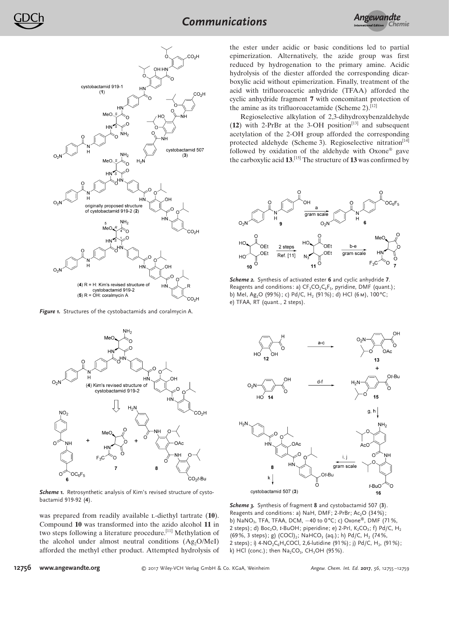*Angewandte* Communications *Chemie*



Figure 1. Structures of the cystobactamids and coralmycin A.



Scheme 1. Retrosynthetic analysis of Kim's revised structure of cystobactamid 919-92 (4).

was prepared from readily available *L*-diethyl tartrate (10). Compound 10 was transformed into the azido alcohol 11 in two steps following a literature procedure.<sup>[11]</sup> Methylation of the alcohol under almost neutral conditions  $(Ag<sub>2</sub>O/MeI)$ afforded the methyl ether product. Attempted hydrolysis of

the ester under acidic or basic conditions led to partial epimerization. Alternatively, the azide group was first reduced by hydrogenation to the primary amine. Acidic hydrolysis of the diester afforded the corresponding dicarboxylic acid without epimerization. Finally, treatment of the acid with trifluoroacetic anhydride (TFAA) afforded the cyclic anhydride fragment 7 with concomitant protection of the amine as its trifluoroacetamide (Scheme 2).<sup>[12]</sup>

Regioselective alkylation of 2,3-dihydroxybenzaldehyde  $(12)$  with 2-PrBr at the 3-OH position<sup>[13]</sup> and subsequent acetylation of the 2-OH group afforded the corresponding protected aldehyde (Scheme 3). Regioselective nitration<sup>[14]</sup> followed by oxidation of the aldehyde with Oxone® gave the carboxylic acid  $13$ .<sup>[15]</sup> The structure of 13 was confirmed by



Scheme 2. Synthesis of activated ester 6 and cyclic anhydride 7. Reagents and conditions: a)  $CF_3CO_2C_6F_5$ , pyridine, DMF (quant.); b) MeI, Ag<sub>2</sub>O (99%); c) Pd/C, H<sub>2</sub> (91%); d) HCl (6 m), 100°C; e) TFAA, RT (quant., 2 steps).



Scheme 3. Synthesis of fragment 8 and cystobactamid 507 (3). Reagents and conditions: a) NaH, DMF; 2-PrBr; Ac<sub>2</sub>O (34%); b) NaNO<sub>3</sub>, TFA, TFAA, DCM,  $-40$  to 0°C; c) Oxone®, DMF (71%, 2 steps); d) Boc<sub>2</sub>O, t-BuOH; piperidine; e) 2-PrI, K<sub>2</sub>CO<sub>3</sub>; f) Pd/C, H<sub>2</sub>  $(69\%, 3 \text{ steps})$ ; g)  $(COCl)_2$ ; NaHCO<sub>3</sub> (aq.); h) Pd/C, H<sub>2</sub> (74%, 2 steps); i) 4-NO<sub>2</sub>C<sub>6</sub>H<sub>4</sub>COCl, 2,6-lutidine (91%); j) Pd/C, H<sub>2</sub>, (91%); k) HCl (conc.); then  $\text{Na}_2\text{CO}_3$ , CH $_3\text{OH}$  (95%).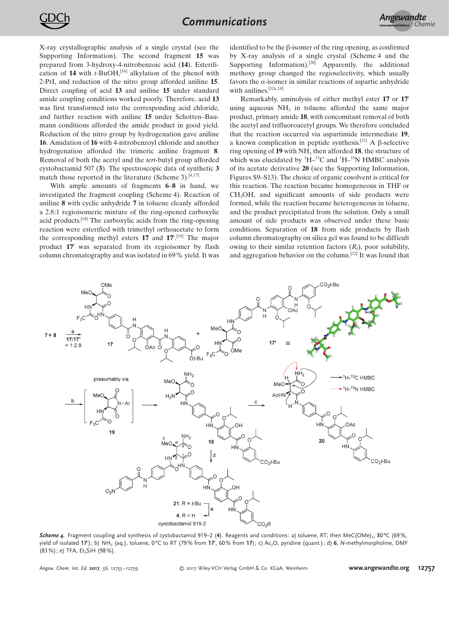X-ray crystallographic analysis of a single crystal (see the Supporting Information). The second fragment 15 was prepared from 3-hydroxy-4-nitrobenzoic acid (14). Esterification of 14 with  $t$ -BuOH,<sup>[16]</sup> alkylation of the phenol with 2-PrI, and reduction of the nitro group afforded aniline 15. Direct coupling of acid 13 and aniline 15 under standard amide coupling conditions worked poorly. Therefore, acid 13 was first transformed into the corresponding acid chloride, and further reaction with aniline 15 under Schotten–Baumann conditions afforded the amide product in good yield. Reduction of the nitro group by hydrogenation gave aniline 16. Amidation of 16 with 4-nitrobenzoyl chloride and another hydrogenation afforded the trimeric aniline fragment 8. Removal of both the acetyl and the tert-butyl group afforded cystobactamid 507 (3). The spectroscopic data of synthetic 3 match those reported in the literature (Scheme 3). $[4,17]$ 

With ample amounts of fragments 6–8 in hand, we investigated the fragment coupling (Scheme 4). Reaction of aniline 8 with cyclic anhydride 7 in toluene cleanly afforded a 2.8:1 regioisomeric mixture of the ring-opened carboxylic acid products.<sup>[18]</sup> The carboxylic acids from the ring-opening reaction were esterified with trimethyl orthoacetate to form the corresponding methyl esters  $17$  and  $17'$ .<sup>[19]</sup> The major product 17' was separated from its regioisomer by flash column chromatography and was isolated in 69% yield. It was

identified to be the  $\beta$ -isomer of the ring opening, as confirmed by X-ray analysis of a single crystal (Scheme 4 and the Supporting Information).<sup>[20]</sup> Apparently, the additional methoxy group changed the regioselectivity, which usually favors the  $\alpha$ -isomer in similar reactions of aspartic anhydride with anilines.<sup>[12a,18]</sup>

Remarkably, aminolysis of either methyl ester 17 or 17' using aqueous  $NH<sub>3</sub>$  in toluene afforded the same major product, primary amide 18, with concomitant removal of both the acetyl and trifluoroacetyl groups. We therefore concluded that the reaction occurred via aspartimide intermediate 19, a known complication in peptide synthesis.<sup>[21]</sup> A  $\beta$ -selective ring opening of  $19$  with NH<sub>3</sub> then afforded  $18$ , the structure of which was elucidated by  ${}^{1}H-{}^{13}C$  and  ${}^{1}H-{}^{15}N$  HMBC analysis of its acetate derivative 20 (see the Supporting Information, Figures S9–S13). The choice of organic cosolvent is critical for this reaction. The reaction became homogeneous in THF or CH3OH, and significant amounts of side products were formed, while the reaction became heterogeneous in toluene, and the product precipitated from the solution. Only a small amount of side products was observed under these basic conditions. Separation of 18 from side products by flash column chromatography on silica gel was found to be difficult owing to their similar retention factors  $(R_f)$ , poor solubility, and aggregation behavior on the column.<sup>[22]</sup> It was found that



**Scheme 4.** Fragment coupling and synthesis of cystobactamid 919–2 (4). Reagents and conditions: a) toluene, RT; then MeC(OMe) $_3$ , 80°C (69%, yield of isolated 17'); b) NH<sub>3</sub> (aq.), toluene, 0°C to RT (79% from 17', 60% from 17); c) Ac<sub>2</sub>O, pyridine (quant.); d) **6**, N-methylmorpholine, DMF  $(83%)$ ; e) TFA, Et<sub>2</sub>SiH  $(98%)$ .

Angew. Chem. Int. Ed. 2017, 56, 12755-12759 C 2017 Wiley-VCH Verlag GmbH & Co. KGaA, Weinheim **[www.angewandte.org](http://www.angewandte.org) 12757**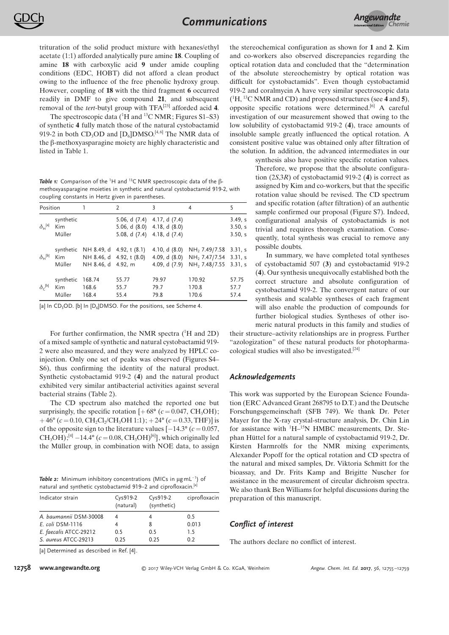trituration of the solid product mixture with hexanes/ethyl acetate (1:1) afforded analytically pure amine 18. Coupling of amine 18 with carboxylic acid 9 under amide coupling conditions (EDC, HOBT) did not afford a clean product owing to the influence of the free phenolic hydroxy group. However, coupling of 18 with the third fragment 6 occurred readily in DMF to give compound 21, and subsequent removal of the *tert*-butyl group with  $TFA^{[23]}$  afforded acid 4.

The spectroscopic data  $(^1H$  and  $^{13}C$  NMR; Figures S1–S3) of synthetic 4 fully match those of the natural cystobactamid 919-2 in both  $CD_3OD$  and  $[D_6]DMSO^{[4,6]}$  The NMR data of the  $\beta$ -methoxyasparagine moiety are highly characteristic and listed in Table 1.

Table 1: Comparison of the <sup>1</sup>H and <sup>13</sup>C NMR spectroscopic data of the  $\beta$ methoxyasparagine moieties in synthetic and natural cystobactamid 919-2, with coupling constants in Hertz given in parentheses.

| Position                             |                                   | 1                                  | 2                                                     | 3                                                                                                   | 4                                                                                                                                                       | 5                             |
|--------------------------------------|-----------------------------------|------------------------------------|-------------------------------------------------------|-----------------------------------------------------------------------------------------------------|---------------------------------------------------------------------------------------------------------------------------------------------------------|-------------------------------|
| $\delta_{\rm H}^{\rm [a]}$           | synthetic<br>Kim<br>Müller        |                                    |                                                       | 5.06, d $(7.4)$ 4.17, d $(7.4)$<br>$5.06, d$ $(8.0)$ 4.18, d $(8.0)$<br>5.08, d (7.4) 4.18, d (7.4) |                                                                                                                                                         | 3.49. s<br>3.50, s<br>3.50, s |
| $\delta_{\mathsf{H}}^{[\mathsf{b}]}$ | Kim                               | synthetic NH 8.49, d 4.92, t (8.1) | NH 8.46, d 4.92, t (8.0)<br>Müller NH 8.46, d 4.92, m |                                                                                                     | 4.10, d $(8.0)$ NH <sub>2</sub> 7.49/7.58 3.31, s<br>4.09, d (8.0) NH <sub>2</sub> 7.47/7.54 3.31, s<br>4.09, d (7.9) NH <sub>2</sub> 7.48/7.55 3.31, s |                               |
| $\delta_c^{[b]}$                     | synthetic 168.74<br>Kim<br>Müller | 168.6<br>168.4                     | 55.77<br>55.7<br>55.4                                 | 79.97<br>79.7<br>79.8                                                                               | 170.92<br>170.8<br>170.6                                                                                                                                | 57.75<br>57.7<br>57.4         |

[a] In CD<sub>3</sub>OD. [b] In  $[D_6]$ DMSO. For the positions, see Scheme 4.

For further confirmation, the NMR spectra  $(^1H$  and 2D) of a mixed sample of synthetic and natural cystobactamid 919- 2 were also measured, and they were analyzed by HPLC coinjection. Only one set of peaks was observed (Figures S4– S6), thus confirming the identity of the natural product. Synthetic cystobactamid 919-2 (4) and the natural product exhibited very similar antibacterial activities against several bacterial strains (Table 2).

The CD spectrum also matched the reported one but surprisingly, the specific rotation  $[+68^{\circ} (c=0.047, CH_3OH);$  $+46^{\circ}$  (c = 0.10, CH<sub>2</sub>Cl<sub>2</sub>/CH<sub>3</sub>OH 1:1); + 24° (c = 0.33, THF)] is of the opposite sign to the literature values  $[-14.3\degree$  ( $c = 0.057$ ,  $CH_3OH$ ;<sup>[4]</sup>  $-14.4^{\circ}$  (c = 0.08, CH<sub>3</sub>OH)<sup>[6]</sup>], which originally led the Müller group, in combination with NOE data, to assign

**Table 2:** Minimum inhibitory concentrations (MICs in  $\mu$ gmL $^{-1}$ ) of natural and synthetic cystobactamid 919–2 and ciprofloxacin.<sup>[a]</sup>

| Indicator strain       | Cys919-2<br>(natural) | Cys919-2<br>(synthetic) | ciprofloxacin |
|------------------------|-----------------------|-------------------------|---------------|
| A. baumannii DSM-30008 |                       |                         | 0.5           |
| E. coli DSM-1116       |                       | 8                       | 0.013         |
| E. faecalis ATCC-29212 | 0.5                   | 0.5                     | 1.5           |
| S. aureus ATCC-29213   | 0.25                  | 0.25                    | 0.2           |

the stereochemical configuration as shown for 1 and 2. Kim and co-workers also observed discrepancies regarding the optical rotation data and concluded that the "determination of the absolute stereochemistry by optical rotation was difficult for cystobactamids". Even though cystobactamid 919-2 and coralmycin A have very similar spectroscopic data  $(^{1}H, ^{13}C NMR$  and CD) and proposed structures (see 4 and 5), opposite specific rotations were determined.[6] A careful investigation of our measurement showed that owing to the low solubility of cystobactamid 919-2 (4), trace amounts of insoluble sample greatly influenced the optical rotation. A consistent positive value was obtained only after filtration of the solution. In addition, the advanced intermediates in our

> synthesis also have positive specific rotation values. Therefore, we propose that the absolute configuration  $(2S,3R)$  of cystobactamid 919-2 (4) is correct as assigned by Kim and co-workers, but that the specific rotation value should be revised. The CD spectrum and specific rotation (after filtration) of an authentic sample confirmed our proposal (Figure S7). Indeed, configurational analysis of cystobactamids is not trivial and requires thorough examination. Consequently, total synthesis was crucial to remove any possible doubts.

In summary, we have completed total syntheses of cystobactamid 507 (3) and cystobactamid 919-2 (4). Our synthesis unequivocally established both the correct structure and absolute configuration of cystobactamid 919-2. The convergent nature of our synthesis and scalable syntheses of each fragment will also enable the production of compounds for further biological studies. Syntheses of other isomeric natural products in this family and studies of their structure–activity relationships are in progress. Further

"azologization" of these natural products for photopharmacological studies will also be investigated.[24]

## Acknowledgements

This work was supported by the European Science Foundation (ERC Advanced Grant 268795 to D.T.) and the Deutsche Forschungsgemeinschaft (SFB 749). We thank Dr. Peter Mayer for the X-ray crystal-structure analysis, Dr. Chin Lin for assistance with  ${}^{1}H-{}^{15}N$  HMBC measurements, Dr. Stephan Hüttel for a natural sample of cystobactamid 919-2, Dr. Kirsten Harmrolfs for the NMR mixing experiments, Alexander Popoff for the optical rotation and CD spectra of the natural and mixed samples, Dr. Viktoria Schmitt for the bioassay, and Dr. Frits Kamp and Brigitte Nuscher for assistance in the measurement of circular dichroism spectra. We also thank Ben Williams for helpful discussions during the preparation of this manuscript.

## Conflict of interest

The authors declare no conflict of interest.

[a] Determined as described in Ref. [4].

12758 [www.angewandte.org](http://www.angewandte.org)  $\odot$  2017 Wiley-VCH Verlag GmbH & Co. KGaA, Weinheim Angew. Chem. Int. Ed. 2017, 56, 12755-12759